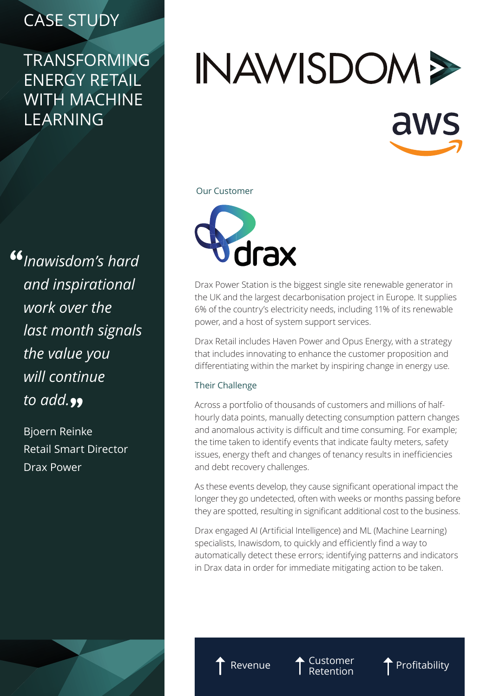## CASE STUDY

### TRANSFORMING ENERGY RETAIL WITH MACHINE LEARNING

*Inawisdom's hard*  " *and inspirational work over the last month signals the value you will continue*  to add.<sub>??</sub>

Bjoern Reinke Retail Smart Director Drax Power

# INAWISDOM > aws

#### Our Customer



Drax Power Station is the biggest single site renewable generator in the UK and the largest decarbonisation project in Europe. It supplies 6% of the country's electricity needs, including 11% of its renewable power, and a host of system support services.

Drax Retail includes Haven Power and Opus Energy, with a strategy that includes innovating to enhance the customer proposition and differentiating within the market by inspiring change in energy use.

#### Their Challenge

Across a portfolio of thousands of customers and millions of halfhourly data points, manually detecting consumption pattern changes and anomalous activity is difficult and time consuming. For example; the time taken to identify events that indicate faulty meters, safety issues, energy theft and changes of tenancy results in inefficiencies and debt recovery challenges.

As these events develop, they cause significant operational impact the longer they go undetected, often with weeks or months passing before they are spotted, resulting in significant additional cost to the business.

Drax engaged AI (Artificial Intelligence) and ML (Machine Learning) specialists, Inawisdom, to quickly and efficiently find a way to automatically detect these errors; identifying patterns and indicators in Drax data in order for immediate mitigating action to be taken.



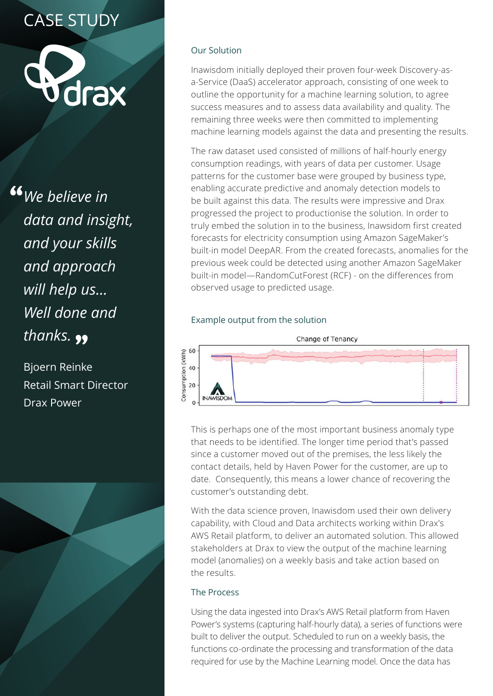# CASE STUDY



<sup>66</sup> We believe in *data and insight, and your skills and approach will help us… Well done and*  thanks. <sub>99</sub>

Bjoern Reinke Retail Smart Director Drax Power



#### Our Solution

Inawisdom initially deployed their proven four-week Discovery-asa-Service (DaaS) accelerator approach, consisting of one week to outline the opportunity for a machine learning solution, to agree success measures and to assess data availability and quality. The remaining three weeks were then committed to implementing machine learning models against the data and presenting the results.

The raw dataset used consisted of millions of half-hourly energy consumption readings, with years of data per customer. Usage patterns for the customer base were grouped by business type, enabling accurate predictive and anomaly detection models to be built against this data. The results were impressive and Drax progressed the project to productionise the solution. In order to truly embed the solution in to the business, Inawsidom first created forecasts for electricity consumption using Amazon SageMaker's built-in model DeepAR. From the created forecasts, anomalies for the previous week could be detected using another Amazon SageMaker built-in model—RandomCutForest (RCF) - on the differences from observed usage to predicted usage.

#### Example output from the solution



This is perhaps one of the most important business anomaly type that needs to be identified. The longer time period that's passed since a customer moved out of the premises, the less likely the contact details, held by Haven Power for the customer, are up to date. Consequently, this means a lower chance of recovering the customer's outstanding debt.

With the data science proven, Inawisdom used their own delivery capability, with Cloud and Data architects working within Drax's AWS Retail platform, to deliver an automated solution. This allowed stakeholders at Drax to view the output of the machine learning model (anomalies) on a weekly basis and take action based on the results.

#### The Process

Using the data ingested into Drax's AWS Retail platform from Haven Power's systems (capturing half-hourly data), a series of functions were built to deliver the output. Scheduled to run on a weekly basis, the functions co-ordinate the processing and transformation of the data required for use by the Machine Learning model. Once the data has